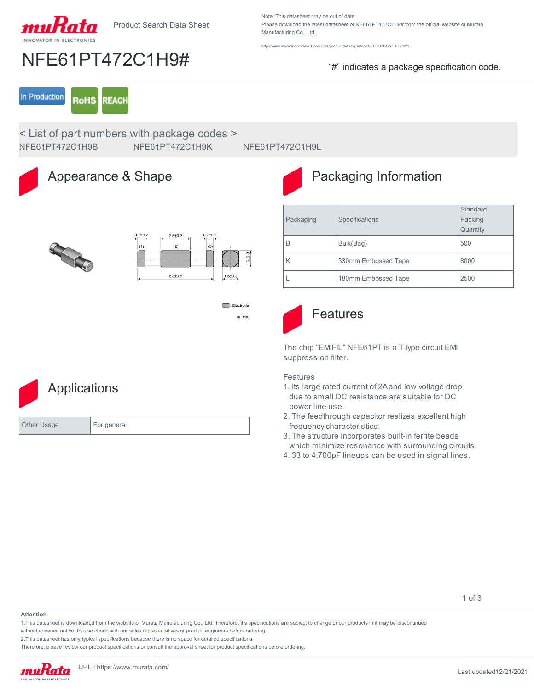

NFE61PT472C1H9# "#" indicates a package specification code.

Note: This datasheet may be out of date. Please download the latest datasheet of NFE61PT472C1H9# from the official website of Murata Manufacturing Co., Ltd.

<http://www.murata.com/en-us/products/productdetail?partno=NFE61PT472C1H9%23>

In Production **RoHS REACH** 

< List of part numbers with package codes > NFE61PT472C1H9B NFE61PT472C1H9K NFE61PT472C1H9L



### Appearance & Shape



## Packaging Information

|--|



 $\Box$ : Electrode  $(in mm)$ 

# **Applications** Other Usage For general

Packaging | Specifications **Standard** Packing **Quantity** B Bulk(Bag) 500 K 330mm Embossed Tape 8000 L 180mm Embossed Tape 2500



### Features

The chip "EMIFIL" NFE61PT is a T-type circuit EMI suppression filter.

### Features

- 1. Its large rated current of 2A and low voltage drop due to small DC resistance are suitable for DC power line use.
- 2. The feedthrough capacitor realizes excellent high frequency characteristics.
- 3. The structure incorporates built-in ferrite beads which minimize resonance with surrounding circuits.
- 4. 33 to 4,700pF lineups can be used in signal lines.

1 of 3

#### **Attention**

1.This datasheet is downloaded from the website of Murata Manufacturing Co., Ltd. Therefore, it's specifications are subject to change or our products in it may be discontinued

without advance notice. Please check with our sales representatives or product engineers before ordering.

2.This datasheet has only typical specifications because there is no space for detailed specifications.

Therefore, please review our product specifications or consult the approval sheet for product specifications before ordering.

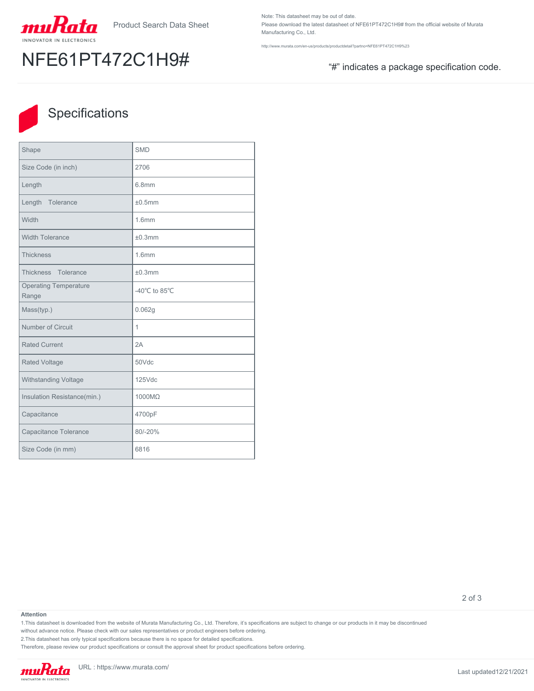

# NFE61PT472C1H9# "#" indicates a package specification code.

Note: This datasheet may be out of date. Please download the latest datasheet of NFE61PT472C1H9# from the official website of Murata Manufacturing Co., Ltd.

<http://www.murata.com/en-us/products/productdetail?partno=NFE61PT472C1H9%23>



## **Specifications**

| Shape                                 | <b>SMD</b>        |
|---------------------------------------|-------------------|
| Size Code (in inch)                   | 2706              |
| Length                                | 6.8mm             |
| Length Tolerance                      | ±0.5mm            |
| Width                                 | 1.6 <sub>mm</sub> |
| <b>Width Tolerance</b>                | ±0.3mm            |
| <b>Thickness</b>                      | 1.6mm             |
| Thickness Tolerance                   | ±0.3mm            |
| <b>Operating Temperature</b><br>Range | -40°C to 85°C     |
| Mass(typ.)                            | 0.062g            |
| Number of Circuit                     | 1                 |
| <b>Rated Current</b>                  | 2A                |
| <b>Rated Voltage</b>                  | 50Vdc             |
| Withstanding Voltage                  | $125$ Vdc         |
| Insulation Resistance(min.)           | 1000MQ            |
| Capacitance                           | 4700pF            |
| Capacitance Tolerance                 | 80/-20%           |
| Size Code (in mm)                     | 6816              |

2 of 3

#### **Attention**

1.This datasheet is downloaded from the website of Murata Manufacturing Co., Ltd. Therefore, it's specifications are subject to change or our products in it may be discontinued

without advance notice. Please check with our sales representatives or product engineers before ordering.

2.This datasheet has only typical specifications because there is no space for detailed specifications.

Therefore, please review our product specifications or consult the approval sheet for product specifications before ordering.